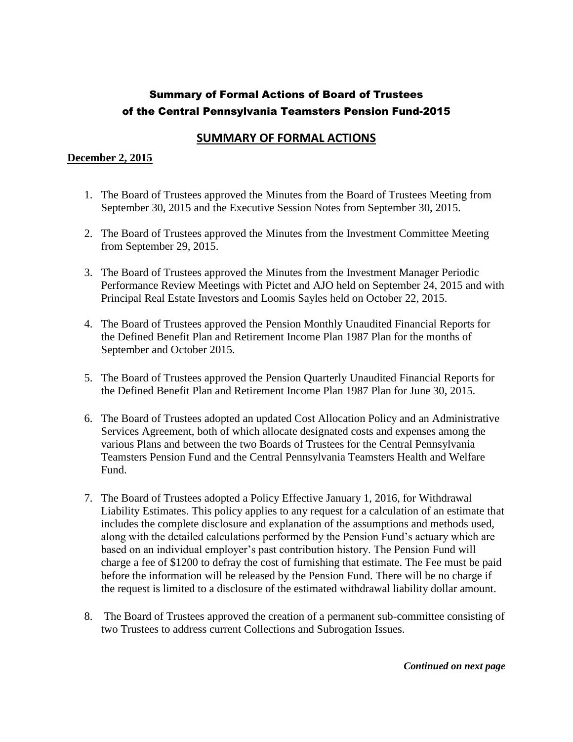## **SUMMARY OF FORMAL ACTIONS**

#### **December 2, 2015**

- 1. The Board of Trustees approved the Minutes from the Board of Trustees Meeting from September 30, 2015 and the Executive Session Notes from September 30, 2015.
- 2. The Board of Trustees approved the Minutes from the Investment Committee Meeting from September 29, 2015.
- 3. The Board of Trustees approved the Minutes from the Investment Manager Periodic Performance Review Meetings with Pictet and AJO held on September 24, 2015 and with Principal Real Estate Investors and Loomis Sayles held on October 22, 2015.
- 4. The Board of Trustees approved the Pension Monthly Unaudited Financial Reports for the Defined Benefit Plan and Retirement Income Plan 1987 Plan for the months of September and October 2015.
- 5. The Board of Trustees approved the Pension Quarterly Unaudited Financial Reports for the Defined Benefit Plan and Retirement Income Plan 1987 Plan for June 30, 2015.
- 6. The Board of Trustees adopted an updated Cost Allocation Policy and an Administrative Services Agreement, both of which allocate designated costs and expenses among the various Plans and between the two Boards of Trustees for the Central Pennsylvania Teamsters Pension Fund and the Central Pennsylvania Teamsters Health and Welfare Fund.
- 7. The Board of Trustees adopted a Policy Effective January 1, 2016, for Withdrawal Liability Estimates. This policy applies to any request for a calculation of an estimate that includes the complete disclosure and explanation of the assumptions and methods used, along with the detailed calculations performed by the Pension Fund's actuary which are based on an individual employer's past contribution history. The Pension Fund will charge a fee of \$1200 to defray the cost of furnishing that estimate. The Fee must be paid before the information will be released by the Pension Fund. There will be no charge if the request is limited to a disclosure of the estimated withdrawal liability dollar amount.
- 8. The Board of Trustees approved the creation of a permanent sub-committee consisting of two Trustees to address current Collections and Subrogation Issues.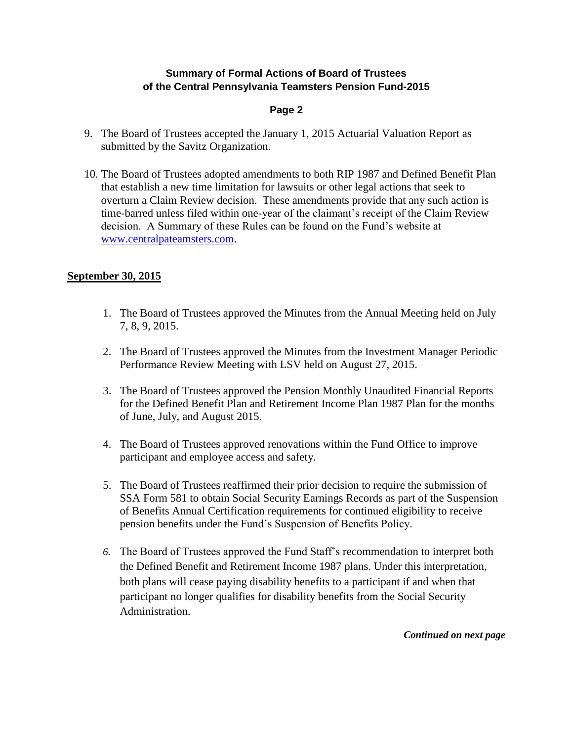#### **Page 2**

- 9. The Board of Trustees accepted the January 1, 2015 Actuarial Valuation Report as submitted by the Savitz Organization.
- 10. The Board of Trustees adopted amendments to both RIP 1987 and Defined Benefit Plan that establish a new time limitation for lawsuits or other legal actions that seek to overturn a Claim Review decision. These amendments provide that any such action is time-barred unless filed within one-year of the claimant's receipt of the Claim Review decision. A Summary of these Rules can be found on the Fund's website at [www.centralpateamsters.com.](http://www.centralpateamsters.com/)

### **September 30, 2015**

- 1. The Board of Trustees approved the Minutes from the Annual Meeting held on July 7, 8, 9, 2015.
- 2. The Board of Trustees approved the Minutes from the Investment Manager Periodic Performance Review Meeting with LSV held on August 27, 2015.
- 3. The Board of Trustees approved the Pension Monthly Unaudited Financial Reports for the Defined Benefit Plan and Retirement Income Plan 1987 Plan for the months of June, July, and August 2015.
- 4. The Board of Trustees approved renovations within the Fund Office to improve participant and employee access and safety.
- 5. The Board of Trustees reaffirmed their prior decision to require the submission of SSA Form 581 to obtain Social Security Earnings Records as part of the Suspension of Benefits Annual Certification requirements for continued eligibility to receive pension benefits under the Fund's Suspension of Benefits Policy.
- *6.* The Board of Trustees approved the Fund Staff's recommendation to interpret both the Defined Benefit and Retirement Income 1987 plans. Under this interpretation, both plans will cease paying disability benefits to a participant if and when that participant no longer qualifies for disability benefits from the Social Security Administration.

*Continued on next page*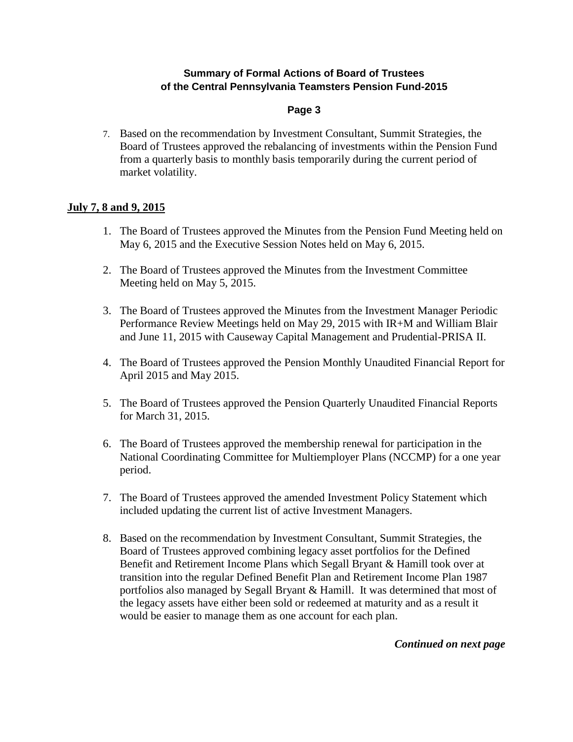### **Page 3**

7. Based on the recommendation by Investment Consultant, Summit Strategies, the Board of Trustees approved the rebalancing of investments within the Pension Fund from a quarterly basis to monthly basis temporarily during the current period of market volatility.

### **July 7, 8 and 9, 2015**

- 1. The Board of Trustees approved the Minutes from the Pension Fund Meeting held on May 6, 2015 and the Executive Session Notes held on May 6, 2015.
- 2. The Board of Trustees approved the Minutes from the Investment Committee Meeting held on May 5, 2015.
- 3. The Board of Trustees approved the Minutes from the Investment Manager Periodic Performance Review Meetings held on May 29, 2015 with IR+M and William Blair and June 11, 2015 with Causeway Capital Management and Prudential-PRISA II.
- 4. The Board of Trustees approved the Pension Monthly Unaudited Financial Report for April 2015 and May 2015.
- 5. The Board of Trustees approved the Pension Quarterly Unaudited Financial Reports for March 31, 2015.
- 6. The Board of Trustees approved the membership renewal for participation in the National Coordinating Committee for Multiemployer Plans (NCCMP) for a one year period.
- 7. The Board of Trustees approved the amended Investment Policy Statement which included updating the current list of active Investment Managers.
- 8. Based on the recommendation by Investment Consultant, Summit Strategies, the Board of Trustees approved combining legacy asset portfolios for the Defined Benefit and Retirement Income Plans which Segall Bryant & Hamill took over at transition into the regular Defined Benefit Plan and Retirement Income Plan 1987 portfolios also managed by Segall Bryant & Hamill. It was determined that most of the legacy assets have either been sold or redeemed at maturity and as a result it would be easier to manage them as one account for each plan.

*Continued on next page*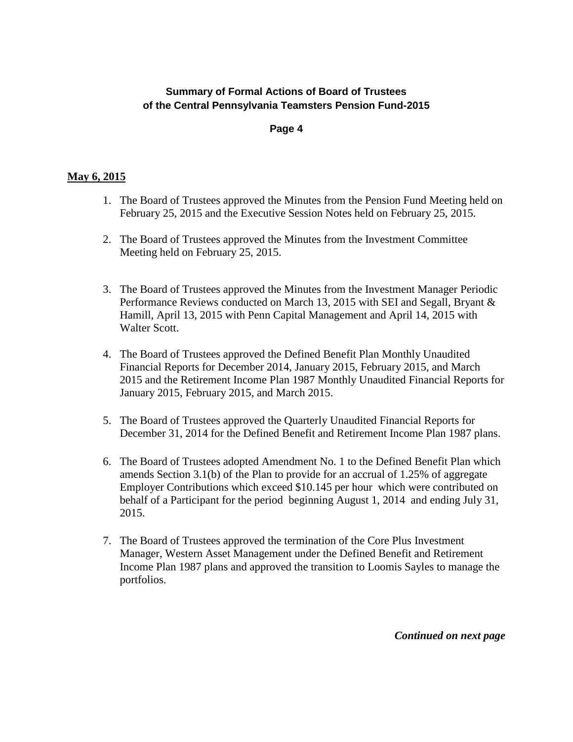#### **Page 4**

#### **May 6, 2015**

- 1. The Board of Trustees approved the Minutes from the Pension Fund Meeting held on February 25, 2015 and the Executive Session Notes held on February 25, 2015.
- 2. The Board of Trustees approved the Minutes from the Investment Committee Meeting held on February 25, 2015.
- 3. The Board of Trustees approved the Minutes from the Investment Manager Periodic Performance Reviews conducted on March 13, 2015 with SEI and Segall, Bryant & Hamill, April 13, 2015 with Penn Capital Management and April 14, 2015 with Walter Scott.
- 4. The Board of Trustees approved the Defined Benefit Plan Monthly Unaudited Financial Reports for December 2014, January 2015, February 2015, and March 2015 and the Retirement Income Plan 1987 Monthly Unaudited Financial Reports for January 2015, February 2015, and March 2015.
- 5. The Board of Trustees approved the Quarterly Unaudited Financial Reports for December 31, 2014 for the Defined Benefit and Retirement Income Plan 1987 plans.
- 6. The Board of Trustees adopted Amendment No. 1 to the Defined Benefit Plan which amends Section 3.1(b) of the Plan to provide for an accrual of 1.25% of aggregate Employer Contributions which exceed \$10.145 per hour which were contributed on behalf of a Participant for the period beginning August 1, 2014 and ending July 31, 2015.
- 7. The Board of Trustees approved the termination of the Core Plus Investment Manager, Western Asset Management under the Defined Benefit and Retirement Income Plan 1987 plans and approved the transition to Loomis Sayles to manage the portfolios.

*Continued on next page*